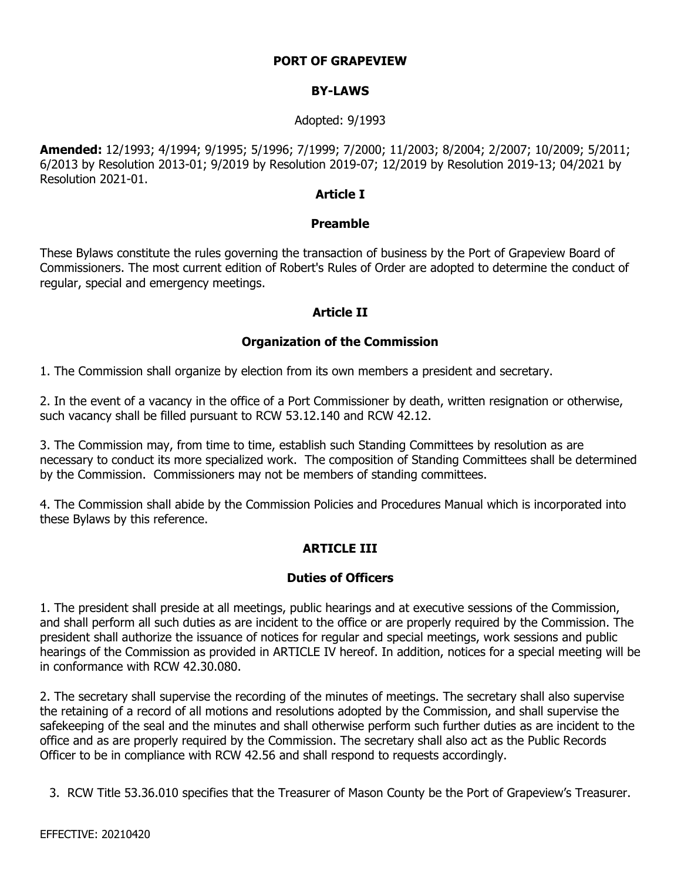### **PORT OF GRAPEVIEW**

### **BY-LAWS**

#### Adopted: 9/1993

**Amended:** 12/1993; 4/1994; 9/1995; 5/1996; 7/1999; 7/2000; 11/2003; 8/2004; 2/2007; 10/2009; 5/2011; 6/2013 by Resolution 2013-01; 9/2019 by Resolution 2019-07; 12/2019 by Resolution 2019-13; 04/2021 by Resolution 2021-01.

#### **Article I**

### **Preamble**

These Bylaws constitute the rules governing the transaction of business by the Port of Grapeview Board of Commissioners. The most current edition of Robert's Rules of Order are adopted to determine the conduct of regular, special and emergency meetings.

#### **Article II**

#### **Organization of the Commission**

1. The Commission shall organize by election from its own members a president and secretary.

2. In the event of a vacancy in the office of a Port Commissioner by death, written resignation or otherwise, such vacancy shall be filled pursuant to RCW 53.12.140 and RCW 42.12.

3. The Commission may, from time to time, establish such Standing Committees by resolution as are necessary to conduct its more specialized work. The composition of Standing Committees shall be determined by the Commission. Commissioners may not be members of standing committees.

4. The Commission shall abide by the Commission Policies and Procedures Manual which is incorporated into these Bylaws by this reference.

### **ARTICLE III**

### **Duties of Officers**

1. The president shall preside at all meetings, public hearings and at executive sessions of the Commission, and shall perform all such duties as are incident to the office or are properly required by the Commission. The president shall authorize the issuance of notices for regular and special meetings, work sessions and public hearings of the Commission as provided in ARTICLE IV hereof. In addition, notices for a special meeting will be in conformance with RCW 42.30.080.

2. The secretary shall supervise the recording of the minutes of meetings. The secretary shall also supervise the retaining of a record of all motions and resolutions adopted by the Commission, and shall supervise the safekeeping of the seal and the minutes and shall otherwise perform such further duties as are incident to the office and as are properly required by the Commission. The secretary shall also act as the Public Records Officer to be in compliance with RCW 42.56 and shall respond to requests accordingly.

3. RCW Title 53.36.010 specifies that the Treasurer of Mason County be the Port of Grapeview's Treasurer.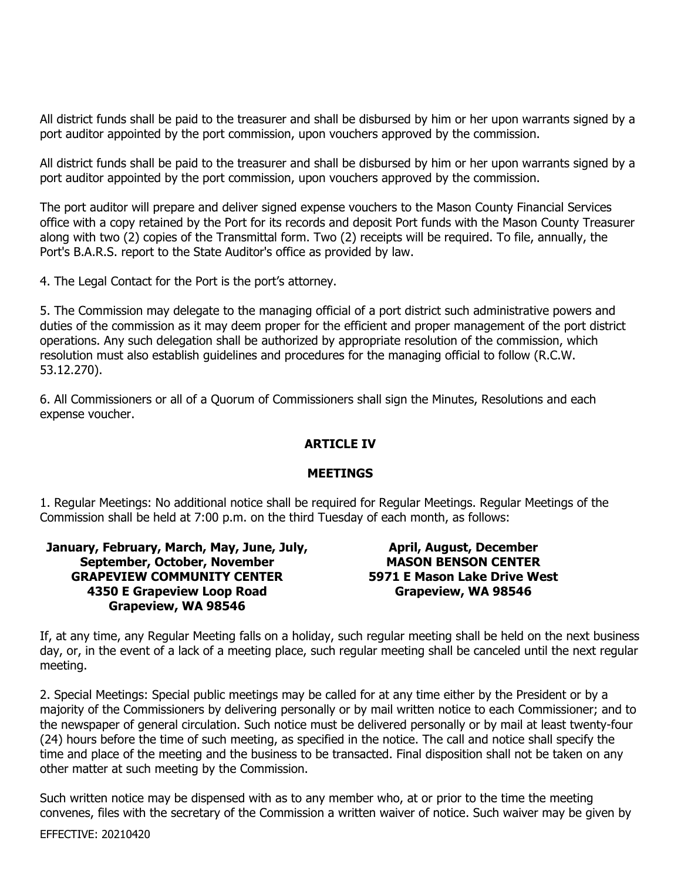All district funds shall be paid to the treasurer and shall be disbursed by him or her upon warrants signed by a port auditor appointed by the port commission, upon vouchers approved by the commission.

All district funds shall be paid to the treasurer and shall be disbursed by him or her upon warrants signed by a port auditor appointed by the port commission, upon vouchers approved by the commission.

The port auditor will prepare and deliver signed expense vouchers to the Mason County Financial Services office with a copy retained by the Port for its records and deposit Port funds with the Mason County Treasurer along with two (2) copies of the Transmittal form. Two (2) receipts will be required. To file, annually, the Port's B.A.R.S. report to the State Auditor's office as provided by law.

4. The Legal Contact for the Port is the port's attorney.

5. The Commission may delegate to the managing official of a port district such administrative powers and duties of the commission as it may deem proper for the efficient and proper management of the port district operations. Any such delegation shall be authorized by appropriate resolution of the commission, which resolution must also establish guidelines and procedures for the managing official to follow (R.C.W. 53.12.270).

6. All Commissioners or all of a Quorum of Commissioners shall sign the Minutes, Resolutions and each expense voucher.

#### **ARTICLE IV**

#### **MEETINGS**

1. Regular Meetings: No additional notice shall be required for Regular Meetings. Regular Meetings of the Commission shall be held at 7:00 p.m. on the third Tuesday of each month, as follows:

| January, February, March, May, June, July, |
|--------------------------------------------|
| September, October, November               |
| <b>GRAPEVIEW COMMUNITY CENTER</b>          |
| 4350 E Grapeview Loop Road                 |
| Grapeview, WA 98546                        |

**April, August, December MASON BENSON CENTER 5971 E Mason Lake Drive West Grapeview, WA 98546**

If, at any time, any Regular Meeting falls on a holiday, such regular meeting shall be held on the next business day, or, in the event of a lack of a meeting place, such regular meeting shall be canceled until the next regular meeting.

2. Special Meetings: Special public meetings may be called for at any time either by the President or by a majority of the Commissioners by delivering personally or by mail written notice to each Commissioner; and to the newspaper of general circulation. Such notice must be delivered personally or by mail at least twenty-four (24) hours before the time of such meeting, as specified in the notice. The call and notice shall specify the time and place of the meeting and the business to be transacted. Final disposition shall not be taken on any other matter at such meeting by the Commission.

Such written notice may be dispensed with as to any member who, at or prior to the time the meeting convenes, files with the secretary of the Commission a written waiver of notice. Such waiver may be given by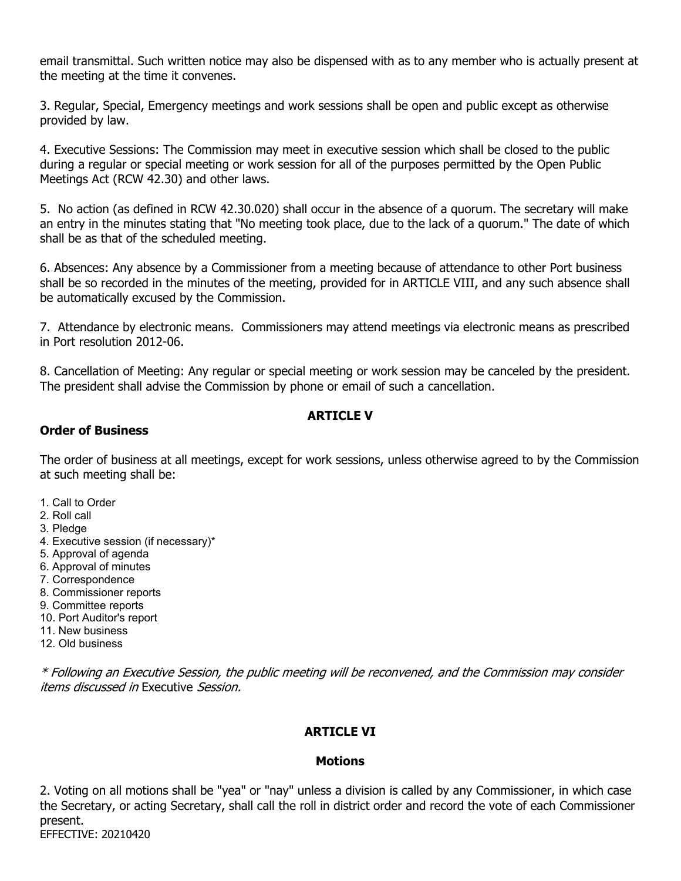email transmittal. Such written notice may also be dispensed with as to any member who is actually present at the meeting at the time it convenes.

3. Regular, Special, Emergency meetings and work sessions shall be open and public except as otherwise provided by law.

4. Executive Sessions: The Commission may meet in executive session which shall be closed to the public during a regular or special meeting or work session for all of the purposes permitted by the Open Public Meetings Act (RCW 42.30) and other laws.

5. No action (as defined in RCW 42.30.020) shall occur in the absence of a quorum. The secretary will make an entry in the minutes stating that "No meeting took place, due to the lack of a quorum." The date of which shall be as that of the scheduled meeting.

6. Absences: Any absence by a Commissioner from a meeting because of attendance to other Port business shall be so recorded in the minutes of the meeting, provided for in ARTICLE VIII, and any such absence shall be automatically excused by the Commission.

7. Attendance by electronic means. Commissioners may attend meetings via electronic means as prescribed in Port resolution 2012-06.

8. Cancellation of Meeting: Any regular or special meeting or work session may be canceled by the president. The president shall advise the Commission by phone or email of such a cancellation.

## **ARTICLE V**

### **Order of Business**

The order of business at all meetings, except for work sessions, unless otherwise agreed to by the Commission at such meeting shall be:

- 1. Call to Order
- 2. Roll call
- 3. Pledge
- 4. Executive session (if necessary)\*
- 5. Approval of agenda
- 6. Approval of minutes
- 7. Correspondence
- 8. Commissioner reports
- 9. Committee reports
- 10. Port Auditor's report
- 11. New business
- 12. Old business

\* Following an Executive Session, the public meeting will be reconvened, and the Commission may consider items discussed in Executive Session.

## **ARTICLE VI**

### **Motions**

2. Voting on all motions shall be "yea" or "nay" unless a division is called by any Commissioner, in which case the Secretary, or acting Secretary, shall call the roll in district order and record the vote of each Commissioner present.

EFFECTIVE: 20210420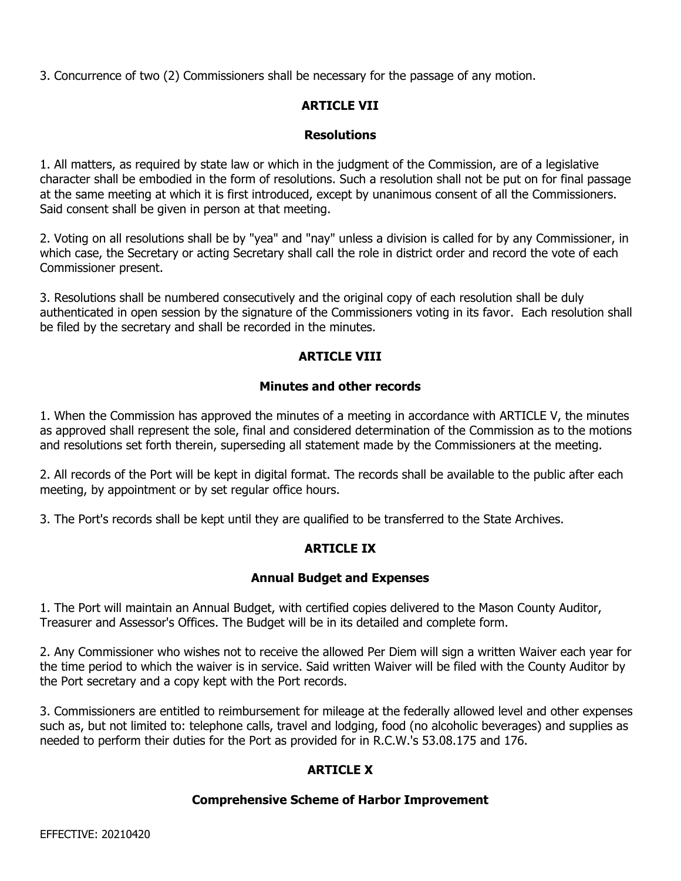3. Concurrence of two (2) Commissioners shall be necessary for the passage of any motion.

# **ARTICLE VII**

### **Resolutions**

1. All matters, as required by state law or which in the judgment of the Commission, are of a legislative character shall be embodied in the form of resolutions. Such a resolution shall not be put on for final passage at the same meeting at which it is first introduced, except by unanimous consent of all the Commissioners. Said consent shall be given in person at that meeting.

2. Voting on all resolutions shall be by "yea" and "nay" unless a division is called for by any Commissioner, in which case, the Secretary or acting Secretary shall call the role in district order and record the vote of each Commissioner present.

3. Resolutions shall be numbered consecutively and the original copy of each resolution shall be duly authenticated in open session by the signature of the Commissioners voting in its favor. Each resolution shall be filed by the secretary and shall be recorded in the minutes.

## **ARTICLE VIII**

## **Minutes and other records**

1. When the Commission has approved the minutes of a meeting in accordance with ARTICLE V, the minutes as approved shall represent the sole, final and considered determination of the Commission as to the motions and resolutions set forth therein, superseding all statement made by the Commissioners at the meeting.

2. All records of the Port will be kept in digital format. The records shall be available to the public after each meeting, by appointment or by set regular office hours.

3. The Port's records shall be kept until they are qualified to be transferred to the State Archives.

## **ARTICLE IX**

### **Annual Budget and Expenses**

1. The Port will maintain an Annual Budget, with certified copies delivered to the Mason County Auditor, Treasurer and Assessor's Offices. The Budget will be in its detailed and complete form.

2. Any Commissioner who wishes not to receive the allowed Per Diem will sign a written Waiver each year for the time period to which the waiver is in service. Said written Waiver will be filed with the County Auditor by the Port secretary and a copy kept with the Port records.

3. Commissioners are entitled to reimbursement for mileage at the federally allowed level and other expenses such as, but not limited to: telephone calls, travel and lodging, food (no alcoholic beverages) and supplies as needed to perform their duties for the Port as provided for in R.C.W.'s 53.08.175 and 176.

## **ARTICLE X**

### **Comprehensive Scheme of Harbor Improvement**